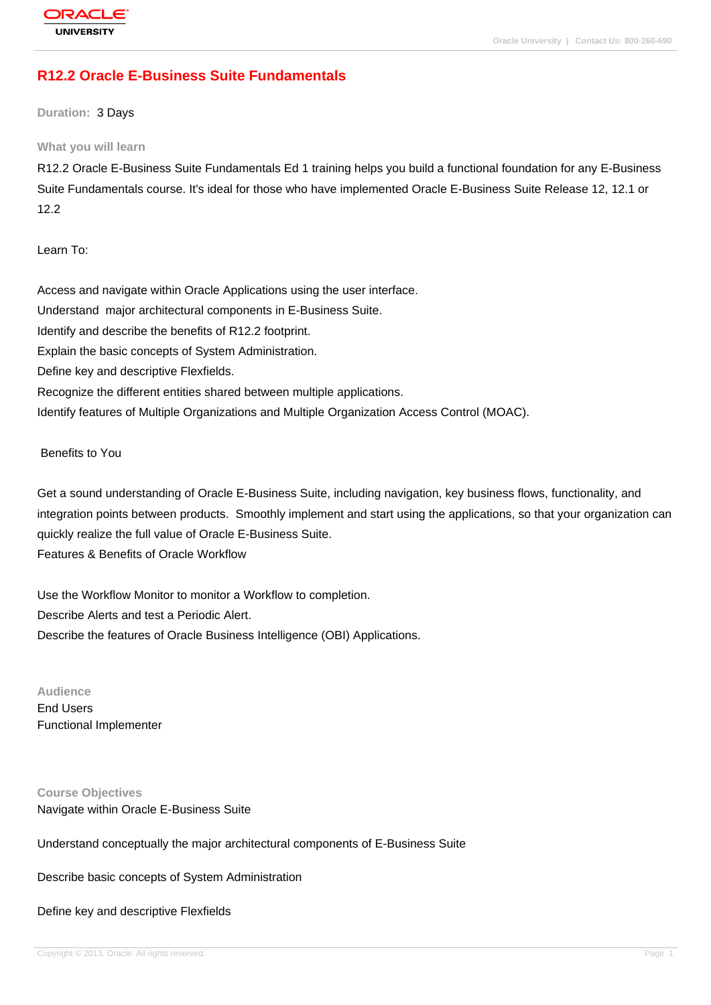# **[R12.2 Oracle E](http://education.oracle.com/pls/web_prod-plq-dad/db_pages.getpage?page_id=3)-Business Suite Fundamentals**

**Duration:** 3 Days

#### **What you will learn**

R12.2 Oracle E-Business Suite Fundamentals Ed 1 training helps you build a functional foundation for any E-Business Suite Fundamentals course. It's ideal for those who have implemented Oracle E-Business Suite Release 12, 12.1 or 12.2

Learn To:

Access and navigate within Oracle Applications using the user interface. Understand major architectural components in E-Business Suite. Identify and describe the benefits of R12.2 footprint. Explain the basic concepts of System Administration. Define key and descriptive Flexfields. Recognize the different entities shared between multiple applications. Identify features of Multiple Organizations and Multiple Organization Access Control (MOAC).

Benefits to You

Get a sound understanding of Oracle E-Business Suite, including navigation, key business flows, functionality, and integration points between products. Smoothly implement and start using the applications, so that your organization can quickly realize the full value of Oracle E-Business Suite. Features & Benefits of Oracle Workflow

Use the Workflow Monitor to monitor a Workflow to completion. Describe Alerts and test a Periodic Alert. Describe the features of Oracle Business Intelligence (OBI) Applications.

**Audience** End Users Functional Implementer

**Course Objectives** Navigate within Oracle E-Business Suite

Understand conceptually the major architectural components of E-Business Suite

Describe basic concepts of System Administration

Define key and descriptive Flexfields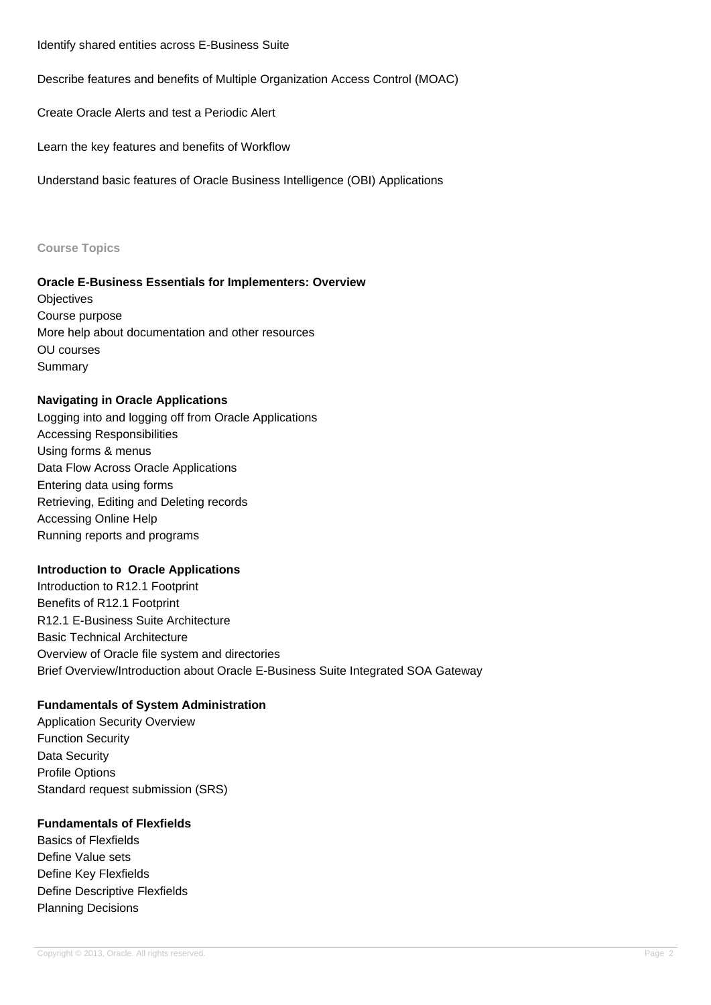Identify shared entities across E-Business Suite

Describe features and benefits of Multiple Organization Access Control (MOAC)

Create Oracle Alerts and test a Periodic Alert

Learn the key features and benefits of Workflow

Understand basic features of Oracle Business Intelligence (OBI) Applications

#### **Course Topics**

### **Oracle E-Business Essentials for Implementers: Overview**

**Objectives** Course purpose More help about documentation and other resources OU courses **Summary** 

### **Navigating in Oracle Applications**

Logging into and logging off from Oracle Applications Accessing Responsibilities Using forms & menus Data Flow Across Oracle Applications Entering data using forms Retrieving, Editing and Deleting records Accessing Online Help Running reports and programs

### **Introduction to Oracle Applications**

Introduction to R12.1 Footprint Benefits of R12.1 Footprint R12.1 E-Business Suite Architecture Basic Technical Architecture Overview of Oracle file system and directories Brief Overview/Introduction about Oracle E-Business Suite Integrated SOA Gateway

## **Fundamentals of System Administration**

Application Security Overview Function Security Data Security Profile Options Standard request submission (SRS)

### **Fundamentals of Flexfields**

Basics of Flexfields Define Value sets Define Key Flexfields Define Descriptive Flexfields Planning Decisions